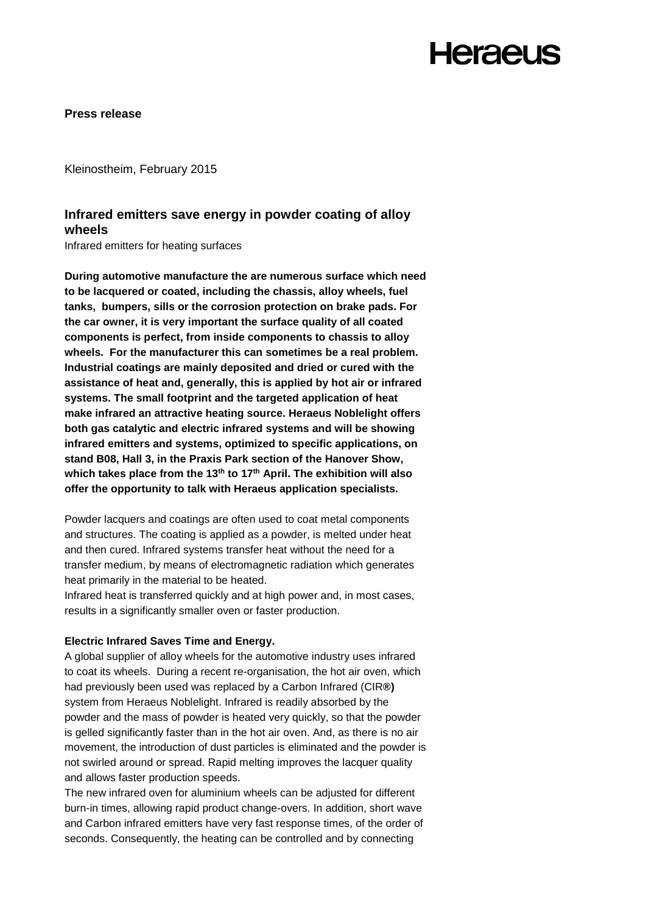**Press release** 

Kleinostheim, February 2015

### **Infrared emitters save energy in powder coating of alloy wheels**

Infrared emitters for heating surfaces

**During automotive manufacture the are numerous surface which need to be lacquered or coated, including the chassis, alloy wheels, fuel tanks, bumpers, sills or the corrosion protection on brake pads. For the car owner, it is very important the surface quality of all coated components is perfect, from inside components to chassis to alloy wheels. For the manufacturer this can sometimes be a real problem. Industrial coatings are mainly deposited and dried or cured with the assistance of heat and, generally, this is applied by hot air or infrared systems. The small footprint and the targeted application of heat make infrared an attractive heating source. Heraeus Noblelight offers both gas catalytic and electric infrared systems and will be showing infrared emitters and systems, optimized to specific applications, on stand B08, Hall 3, in the Praxis Park section of the Hanover Show, which takes place from the 13th to 17th April. The exhibition will also offer the opportunity to talk with Heraeus application specialists.**

Powder lacquers and coatings are often used to coat metal components and structures. The coating is applied as a powder, is melted under heat and then cured. Infrared systems transfer heat without the need for a transfer medium, by means of electromagnetic radiation which generates heat primarily in the material to be heated.

Infrared heat is transferred quickly and at high power and, in most cases, results in a significantly smaller oven or faster production.

#### **Electric Infrared Saves Time and Energy.**

A global supplier of alloy wheels for the automotive industry uses infrared to coat its wheels. During a recent re-organisation, the hot air oven, which had previously been used was replaced by a Carbon Infrared (CIR**®)**  system from Heraeus Noblelight. Infrared is readily absorbed by the powder and the mass of powder is heated very quickly, so that the powder is gelled significantly faster than in the hot air oven. And, as there is no air movement, the introduction of dust particles is eliminated and the powder is not swirled around or spread. Rapid melting improves the lacquer quality and allows faster production speeds.

The new infrared oven for aluminium wheels can be adjusted for different burn-in times, allowing rapid product change-overs. In addition, short wave and Carbon infrared emitters have very fast response times, of the order of seconds. Consequently, the heating can be controlled and by connecting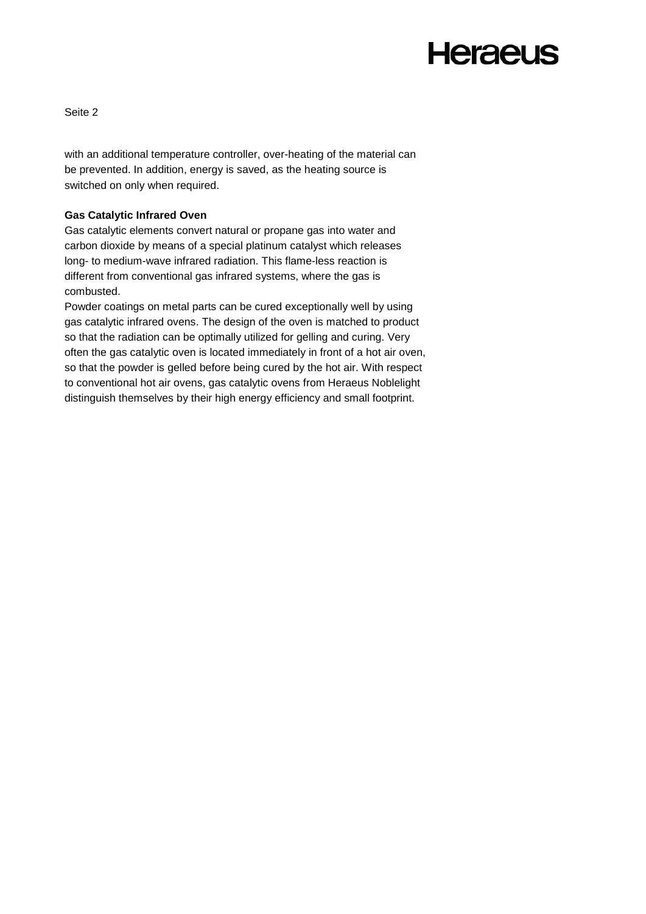Seite 2

with an additional temperature controller, over-heating of the material can be prevented. In addition, energy is saved, as the heating source is switched on only when required.

#### **Gas Catalytic Infrared Oven**

Gas catalytic elements convert natural or propane gas into water and carbon dioxide by means of a special platinum catalyst which releases long- to medium-wave infrared radiation. This flame-less reaction is different from conventional gas infrared systems, where the gas is combusted.

Powder coatings on metal parts can be cured exceptionally well by using gas catalytic infrared ovens. The design of the oven is matched to product so that the radiation can be optimally utilized for gelling and curing. Very often the gas catalytic oven is located immediately in front of a hot air oven, so that the powder is gelled before being cured by the hot air. With respect to conventional hot air ovens, gas catalytic ovens from Heraeus Noblelight distinguish themselves by their high energy efficiency and small footprint.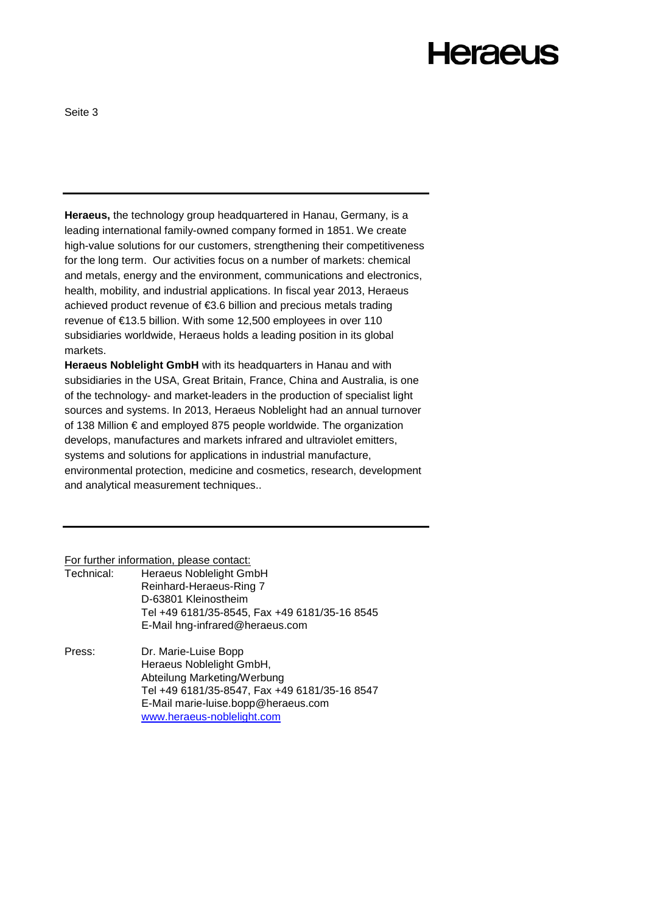Seite 3

**Heraeus,** the technology group headquartered in Hanau, Germany, is a leading international family-owned company formed in 1851. We create high-value solutions for our customers, strengthening their competitiveness for the long term. Our activities focus on a number of markets: chemical and metals, energy and the environment, communications and electronics, health, mobility, and industrial applications. In fiscal year 2013, Heraeus achieved product revenue of €3.6 billion and precious metals trading revenue of €13.5 billion. With some 12,500 employees in over 110 subsidiaries worldwide, Heraeus holds a leading position in its global markets.

**Heraeus Noblelight GmbH** with its headquarters in Hanau and with subsidiaries in the USA, Great Britain, France, China and Australia, is one of the technology- and market-leaders in the production of specialist light sources and systems. In 2013, Heraeus Noblelight had an annual turnover of 138 Million € and employed 875 people worldwide. The organization develops, manufactures and markets infrared and ultraviolet emitters, systems and solutions for applications in industrial manufacture, environmental protection, medicine and cosmetics, research, development and analytical measurement techniques..

For further information, please contact:

| Technical: | Heraeus Noblelight GmbH                       |
|------------|-----------------------------------------------|
|            | Reinhard-Heraeus-Ring 7                       |
|            | D-63801 Kleinostheim                          |
|            | Tel +49 6181/35-8545, Fax +49 6181/35-16 8545 |
|            | E-Mail hng-infrared@heraeus.com               |

Press: Dr. Marie-Luise Bopp Heraeus Noblelight GmbH, Abteilung Marketing/Werbung Tel +49 6181/35-8547, Fax +49 6181/35-16 8547 E-Mail marie-luise.bopp@heraeus.com [www.heraeus-noblelight.com](http://www.heraeus-noblelight.com/)